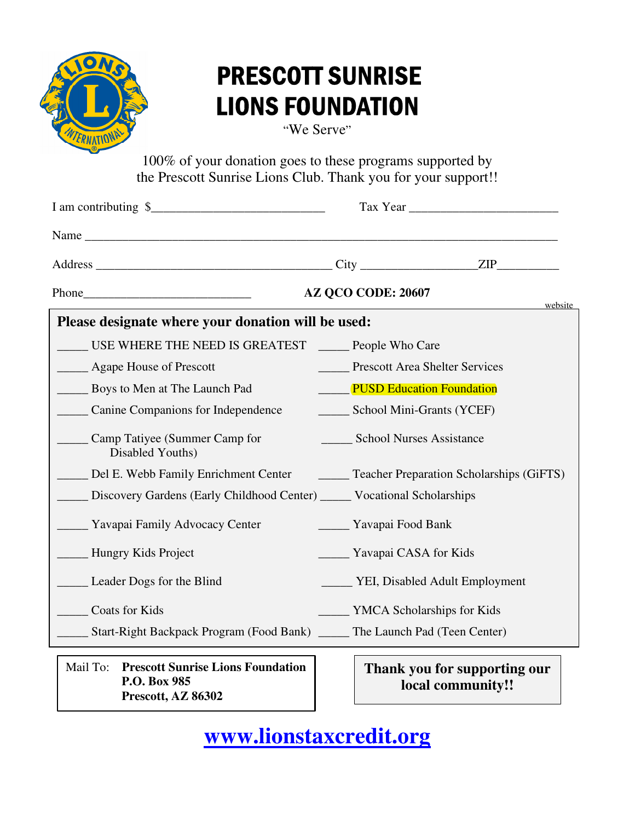

## PRESCOTT SUNRISE LIONS FOUNDATION

"We Serve"

100% of your donation goes to these programs supported by the Prescott Sunrise Lions Club. Thank you for your support!!

| I am contributing \$                                                                |                                                 |                                       |  |
|-------------------------------------------------------------------------------------|-------------------------------------------------|---------------------------------------|--|
|                                                                                     |                                                 |                                       |  |
|                                                                                     |                                                 |                                       |  |
|                                                                                     | AZ QCO CODE: 20607                              | website                               |  |
| Please designate where your donation will be used:                                  |                                                 |                                       |  |
| USE WHERE THE NEED IS GREATEST _______ People Who Care                              |                                                 |                                       |  |
| <b>Example 2</b> Agape House of Prescott                                            | <b>Example 3</b> Prescott Area Shelter Services |                                       |  |
| Boys to Men at The Launch Pad                                                       | <b>PUSD Education Foundation</b>                |                                       |  |
| Canine Companions for Independence                                                  | School Mini-Grants (YCEF)                       |                                       |  |
| Camp Tatiyee (Summer Camp for<br>Disabled Youths)                                   | <b>School Nurses Assistance</b>                 |                                       |  |
| Del E. Webb Family Enrichment Center [18] Teacher Preparation Scholarships (GiFTS)  |                                                 |                                       |  |
| Discovery Gardens (Early Childhood Center) _____ Vocational Scholarships            |                                                 |                                       |  |
| <b>Example 3</b> Yavapai Family Advocacy Center                                     | Yavapai Food Bank                               |                                       |  |
| <b>Example 3</b> Hungry Kids Project                                                | <u>Navapai</u> CASA for Kids                    |                                       |  |
| Leader Dogs for the Blind                                                           |                                                 | ______ YEI, Disabled Adult Employment |  |
| Coats for Kids                                                                      | ____ YMCA Scholarships for Kids                 |                                       |  |
| ______ Start-Right Backpack Program (Food Bank) ______ The Launch Pad (Teen Center) |                                                 |                                       |  |
| <b>Prescott Sunrise Lions Foundation</b><br>Mail To:                                |                                                 | Thank you for supporting our          |  |

Mail To: **Prescott Sunrise Lions Foundation P.O. Box 985 Prescott, AZ 86302** 

**Thank you for supporting our local community!!** 

**[www.lionstaxcredit.org](https://www.prescottsunriselionsclub.org/donate/)**